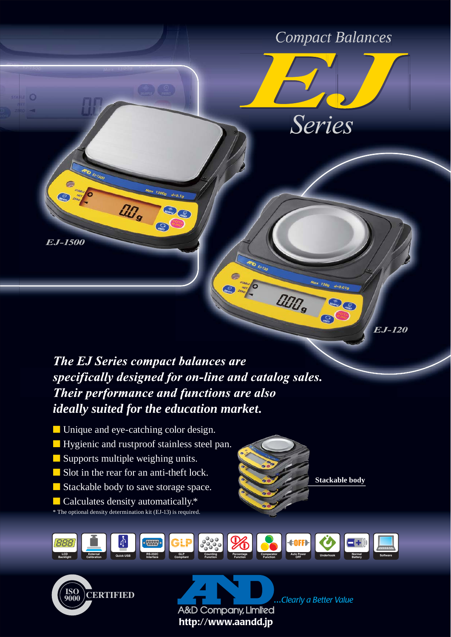# *Compact Balances Compact Balances*<br> **EVELONE SERVICES**

*Series*

 $M_{\alpha}$  120g  $d = 0.01$ 

*EJ-1500*

*The EJ Series compact balances are specifically designed for on-line and catalog sales. Their performance and functions are also*

*ideally suited for the education market.*

■ Unique and eye-catching color design.

 $dlg$ 

- Hygienic and rustproof stainless steel pan.
- Supports multiple weighing units.
- Slot in the rear for an anti-theft lock.
- Stackable body to save storage space.

■ Calculates density automatically.<sup>\*</sup>

\* The optional density determination kit (EJ-13) is required.



Suntain Max 1209

**Stackable body**







*EJ-120*